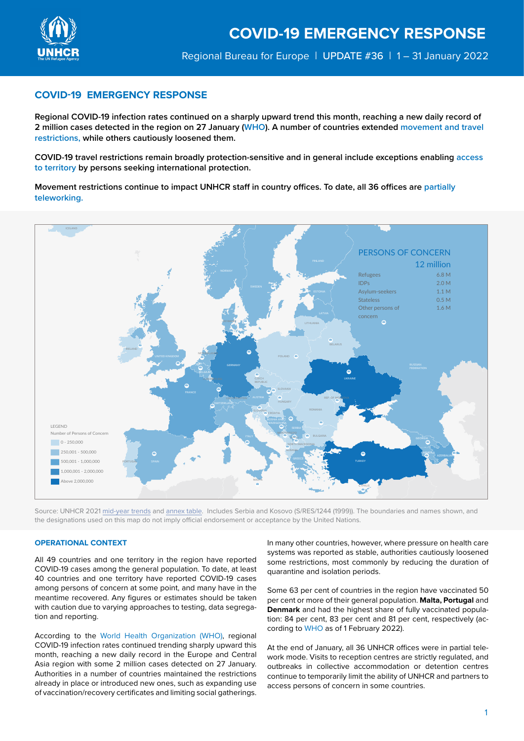

# **COVID-19 EMERGENCY RESPONSE**

**Regional COVID-19 infection rates continued on a sharply upward trend this month, reaching a new daily record of 2 million cases detected in the region on 27 January (WHO). A number of countries extended movement and travel restrictions, while others cautiously loosened them.** 

**COVID-19 travel restrictions remain broadly protection-sensitive and in general include exceptions enabling access to territory by persons seeking international protection.**

**Movement restrictions continue to impact UNHCR staff in country offices. To date, all 36 offices are partially teleworking.**



Source: UNHCR 2021 [mid-year trends](https://www.unhcr.org/mid-year-trends) and [annex table](http://annex table). Includes Serbia and Kosovo (S/RES/1244 (1999)). The boundaries and names shown, and the designations used on this map do not imply official endorsement or acceptance by the United Nations.

## **OPERATIONAL CONTEXT**

All 49 countries and one territory in the region have reported COVID-19 cases among the general population. To date, at least 40 countries and one territory have reported COVID-19 cases among persons of concern at some point, and many have in the meantime recovered. Any figures or estimates should be taken with caution due to varying approaches to testing, data segregation and reporting.

According to the [World Health Organization \(WHO\),](https://who.maps.arcgis.com/apps/dashboards/ead3c6475654481ca51c248d52ab9c61) regional COVID-19 infection rates continued trending sharply upward this month, reaching a new daily record in the Europe and Central Asia region with some 2 million cases detected on 27 January. Authorities in a number of countries maintained the restrictions already in place or introduced new ones, such as expanding use of vaccination/recovery certificates and limiting social gatherings.

In many other countries, however, where pressure on health care systems was reported as stable, authorities cautiously loosened some restrictions, most commonly by reducing the duration of quarantine and isolation periods.

Some 63 per cent of countries in the region have vaccinated 50 per cent or more of their general population. **Malta, Portugal** and **Denmark** and had the highest share of fully vaccinated population: 84 per cent, 83 per cent and 81 per cent, respectively (according to [WHO](https://who.maps.arcgis.com/apps/dashboards/ead3c6475654481ca51c248d52ab9c61) as of 1 February 2022).

At the end of January, all 36 UNHCR offices were in partial telework mode. Visits to reception centres are strictly regulated, and outbreaks in collective accommodation or detention centres continue to temporarily limit the ability of UNHCR and partners to access persons of concern in some countries.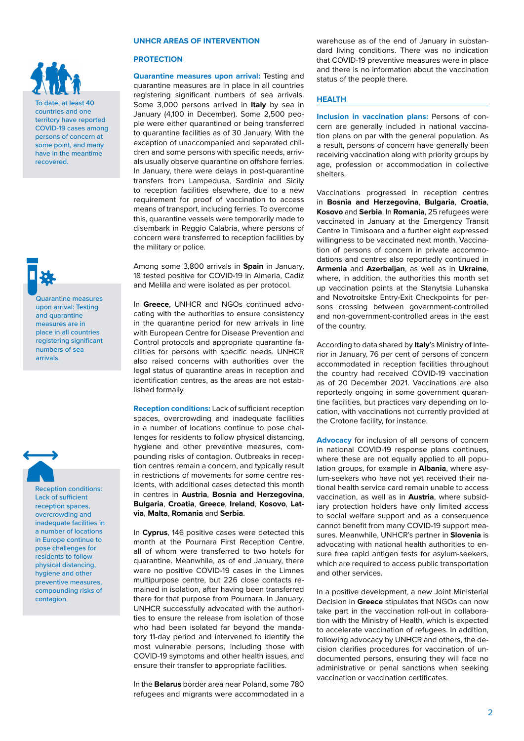

To date, at least 40 countries and one territory have reported COVID-19 cases among persons of concern at some point, and many have in the meantime recovered.

Quarantine measures upon arrival: Testing and quarantine measures are in place in all countries registering significant numbers of sea arrivals.



Reception conditions: Lack of sufficient reception spaces, overcrowding and inadequate facilities in a number of locations in Europe continue to pose challenges for residents to follow physical distancing, hygiene and other preventive measures, compounding risks of contagion.

### **UNHCR AREAS OF INTERVENTION**

#### **PROTECTION**

**Quarantine measures upon arrival:** Testing and quarantine measures are in place in all countries registering significant numbers of sea arrivals. Some 3,000 persons arrived in **Italy** by sea in January (4,100 in December). Some 2,500 people were either quarantined or being transferred to quarantine facilities as of 30 January. With the exception of unaccompanied and separated children and some persons with specific needs, arrivals usually observe quarantine on offshore ferries. In January, there were delays in post-quarantine transfers from Lampedusa, Sardinia and Sicily to reception facilities elsewhere, due to a new requirement for proof of vaccination to access means of transport, including ferries. To overcome this, quarantine vessels were temporarily made to disembark in Reggio Calabria, where persons of concern were transferred to reception facilities by the military or police.

Among some 3,800 arrivals in **Spain** in January, 18 tested positive for COVID-19 in Almeria, Cadiz and Melilla and were isolated as per protocol.

In **Greece**, UNHCR and NGOs continued advocating with the authorities to ensure consistency in the quarantine period for new arrivals in line with European Centre for Disease Prevention and Control protocols and appropriate quarantine facilities for persons with specific needs. UNHCR also raised concerns with authorities over the legal status of quarantine areas in reception and identification centres, as the areas are not established formally.

**Reception conditions:** Lack of sufficient reception spaces, overcrowding and inadequate facilities in a number of locations continue to pose challenges for residents to follow physical distancing, hygiene and other preventive measures, compounding risks of contagion. Outbreaks in reception centres remain a concern, and typically result in restrictions of movements for some centre residents, with additional cases detected this month in centres in **Austria**, **Bosnia and Herzegovina**, **Bulgaria**, **Croatia**, **Greece**, **Ireland**, **Kosovo**, **Latvia**, **Malta**, **Romania** and **Serbia**.

In **Cyprus**, 146 positive cases were detected this month at the Pournara First Reception Centre, all of whom were transferred to two hotels for quarantine. Meanwhile, as of end January, there were no positive COVID-19 cases in the Limnes multipurpose centre, but 226 close contacts remained in isolation, after having been transferred there for that purpose from Pournara. In January, UNHCR successfully advocated with the authorities to ensure the release from isolation of those who had been isolated far beyond the mandatory 11-day period and intervened to identify the most vulnerable persons, including those with COVID-19 symptoms and other health issues, and ensure their transfer to appropriate facilities.

In the **Belarus** border area near Poland, some 780 refugees and migrants were accommodated in a warehouse as of the end of January in substandard living conditions. There was no indication that COVID-19 preventive measures were in place and there is no information about the vaccination status of the people there.

## **HEALTH**

**Inclusion in vaccination plans:** Persons of concern are generally included in national vaccination plans on par with the general population. As a result, persons of concern have generally been receiving vaccination along with priority groups by age, profession or accommodation in collective shelters.

Vaccinations progressed in reception centres in **Bosnia and Herzegovina**, **Bulgaria**, **Croatia**, **Kosovo** and **Serbia**. In **Romania**, 25 refugees were vaccinated in January at the Emergency Transit Centre in Timisoara and a further eight expressed willingness to be vaccinated next month. Vaccination of persons of concern in private accommodations and centres also reportedly continued in **Armenia** and **Azerbaijan**, as well as in **Ukraine**, where, in addition, the authorities this month set up vaccination points at the Stanytsia Luhanska and Novotroitske Entry-Exit Checkpoints for persons crossing between government-controlled and non-government-controlled areas in the east of the country.

According to data shared by **Italy**'s Ministry of Interior in January, 76 per cent of persons of concern accommodated in reception facilities throughout the country had received COVID-19 vaccination as of 20 December 2021. Vaccinations are also reportedly ongoing in some government quarantine facilities, but practices vary depending on location, with vaccinations not currently provided at the Crotone facility, for instance.

**Advocacy** for inclusion of all persons of concern in national COVID-19 response plans continues, where these are not equally applied to all population groups, for example in **Albania**, where asylum-seekers who have not yet received their national health service card remain unable to access vaccination, as well as in **Austria**, where subsidiary protection holders have only limited access to social welfare support and as a consequence cannot benefit from many COVID-19 support measures. Meanwhile, UNHCR's partner in **Slovenia** is advocating with national health authorities to ensure free rapid antigen tests for asylum-seekers, which are required to access public transportation and other services.

In a positive development, a new Joint Ministerial Decision in **Greece** stipulates that NGOs can now take part in the vaccination roll-out in collaboration with the Ministry of Health, which is expected to accelerate vaccination of refugees. In addition, following advocacy by UNHCR and others, the decision clarifies procedures for vaccination of undocumented persons, ensuring they will face no administrative or penal sanctions when seeking vaccination or vaccination certificates.